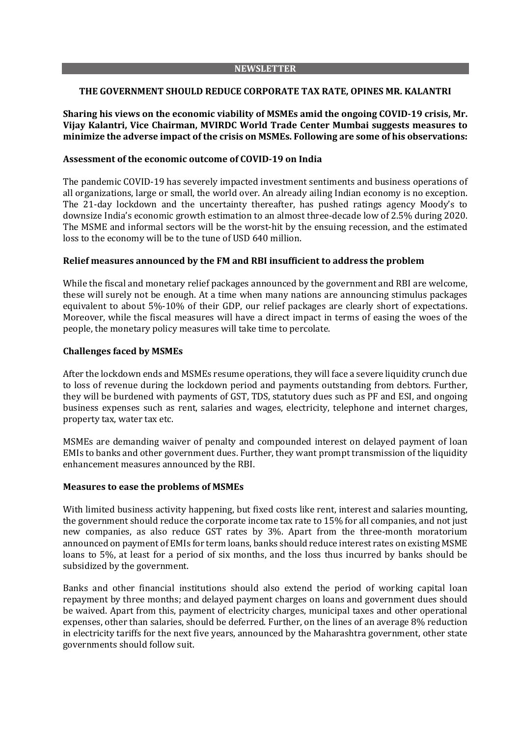### **NEWSLETTER**

### **THE GOVERNMENT SHOULD REDUCE CORPORATE TAX RATE, OPINES MR. KALANTRI**

## **Sharing his views on the economic viability of MSMEs amid the ongoing COVID-19 crisis, Mr. Vijay Kalantri, Vice Chairman, MVIRDC World Trade Center Mumbai suggests measures to minimize the adverse impact of the crisis on MSMEs. Following are some of his observations:**

### **Assessment of the economic outcome of COVID-19 on India**

The pandemic COVID-19 has severely impacted investment sentiments and business operations of all organizations, large or small, the world over. An already ailing Indian economy is no exception. The 21-day lockdown and the uncertainty thereafter, has pushed ratings agency Moody's to downsize India's economic growth estimation to an almost three-decade low of 2.5% during 2020. The MSME and informal sectors will be the worst-hit by the ensuing recession, and the estimated loss to the economy will be to the tune of USD 640 million.

### **Relief measures announced by the FM and RBI insufficient to address the problem**

While the fiscal and monetary relief packages announced by the government and RBI are welcome, these will surely not be enough. At a time when many nations are announcing stimulus packages equivalent to about 5%-10% of their GDP, our relief packages are clearly short of expectations. Moreover, while the fiscal measures will have a direct impact in terms of easing the woes of the people, the monetary policy measures will take time to percolate.

### **Challenges faced by MSMEs**

After the lockdown ends and MSMEs resume operations, they will face a severe liquidity crunch due to loss of revenue during the lockdown period and payments outstanding from debtors. Further, they will be burdened with payments of GST, TDS, statutory dues such as PF and ESI, and ongoing business expenses such as rent, salaries and wages, electricity, telephone and internet charges, property tax, water tax etc.

MSMEs are demanding waiver of penalty and compounded interest on delayed payment of loan EMIs to banks and other government dues. Further, they want prompt transmission of the liquidity enhancement measures announced by the RBI.

#### **Measures to ease the problems of MSMEs**

With limited business activity happening, but fixed costs like rent, interest and salaries mounting, the government should reduce the corporate income tax rate to 15% for all companies, and not just new companies, as also reduce GST rates by 3%. Apart from the three-month moratorium announced on payment of EMIs for term loans, banks should reduce interest rates on existing MSME loans to 5%, at least for a period of six months, and the loss thus incurred by banks should be subsidized by the government.

Banks and other financial institutions should also extend the period of working capital loan repayment by three months; and delayed payment charges on loans and government dues should be waived. Apart from this, payment of electricity charges, municipal taxes and other operational expenses, other than salaries, should be deferred. Further, on the lines of an average 8% reduction in electricity tariffs for the next five years, announced by the Maharashtra government, other state governments should follow suit.